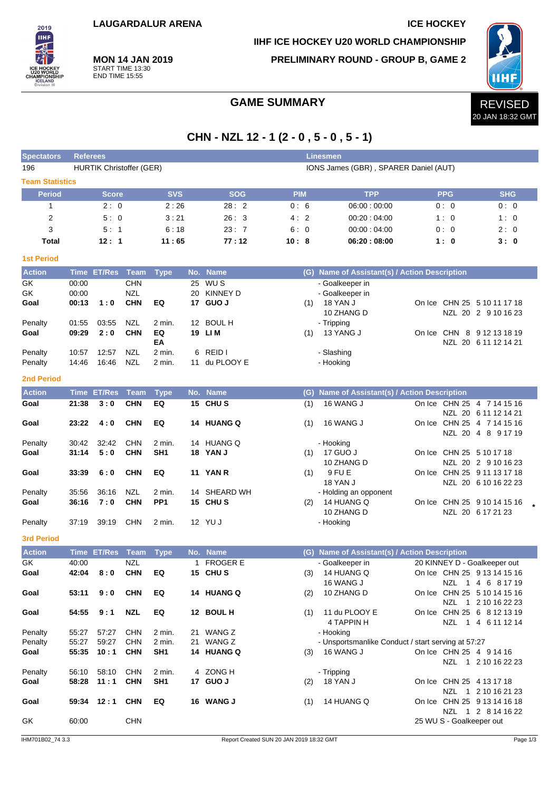**MON 14 JAN 2019** START TIME 13:30 END TIME 15:55

2019 **IIHF** 

**IIHF ICE HOCKEY U20 WORLD CHAMPIONSHIP**

**PRELIMINARY ROUND - GROUP B, GAME 2**



# **CHN - NZL 12 - 1 (2 - 0 , 5 - 0 , 5 - 1)**

| <b>Spectators</b>      | <b>Linesmen</b><br><b>Referees</b> |                  |                                                                          |                           |     |                         |            |     |                                                    |  |                          |                                                             |  |
|------------------------|------------------------------------|------------------|--------------------------------------------------------------------------|---------------------------|-----|-------------------------|------------|-----|----------------------------------------------------|--|--------------------------|-------------------------------------------------------------|--|
| 196                    |                                    |                  | <b>HURTIK Christoffer (GER)</b><br>IONS James (GBR), SPARER Daniel (AUT) |                           |     |                         |            |     |                                                    |  |                          |                                                             |  |
| <b>Team Statistics</b> |                                    |                  |                                                                          |                           |     |                         |            |     |                                                    |  |                          |                                                             |  |
| <b>Period</b>          |                                    | <b>Score</b>     |                                                                          | <b>SVS</b>                |     | <b>SOG</b>              | <b>PIM</b> |     | <b>TPP</b>                                         |  | <b>PPG</b>               | <b>SHG</b>                                                  |  |
| 1                      |                                    | 2:0              |                                                                          | 2:26                      |     | 28:2                    | 0:6        |     | 06:00:00:00                                        |  | 0:0                      | 0:0                                                         |  |
| $\overline{2}$         |                                    | 5:0              |                                                                          | 3:21                      |     | 26:3                    | 4:2        |     | 00:20:04:00                                        |  | 1:0                      | 1:0                                                         |  |
| 3                      |                                    | 5:1              |                                                                          | 6:18                      |     | 23:7                    | 6:0        |     | 00:00:04:00                                        |  | 0:0                      | 2:0                                                         |  |
| <b>Total</b>           |                                    | 12:1             |                                                                          | 11:65                     |     | 77:12                   | 10:8       |     | 06:20:08:00                                        |  | 1:0                      | 3:0                                                         |  |
| <b>1st Period</b>      |                                    |                  |                                                                          |                           |     |                         |            |     |                                                    |  |                          |                                                             |  |
| <b>Action</b>          | <b>Time</b>                        | <b>ET/Res</b>    | Team                                                                     | <b>Type</b>               | No. | <b>Name</b>             |            |     | (G) Name of Assistant(s) / Action Description      |  |                          |                                                             |  |
| GK                     | 00:00                              |                  | <b>CHN</b>                                                               |                           | 25  | WU S                    |            |     | - Goalkeeper in                                    |  |                          |                                                             |  |
| GK                     | 00:00                              |                  | NZL                                                                      |                           |     | 20 KINNEY D             |            |     | - Goalkeeper in                                    |  |                          |                                                             |  |
| Goal                   | 00:13                              | 1:0              | <b>CHN</b>                                                               | EQ                        |     | 17 GUO J                |            | (1) | 18 YAN J                                           |  |                          | On Ice CHN 25 5 10 11 17 18                                 |  |
|                        |                                    |                  |                                                                          |                           |     | 12 BOUL H               |            |     | 10 ZHANG D                                         |  |                          | NZL 20 2 9 10 16 23                                         |  |
| Penalty<br>Goal        | 01:55<br>09:29                     | 03:55<br>2:0     | NZL<br><b>CHN</b>                                                        | 2 min.<br>EQ              |     | 19 LIM                  |            | (1) | - Tripping<br>13 YANG J                            |  |                          | On Ice CHN 8 9 12 13 18 19                                  |  |
|                        |                                    |                  |                                                                          | ΕA                        |     |                         |            |     |                                                    |  |                          | NZL 20 6 11 12 14 21                                        |  |
| Penalty                | 10:57                              | 12:57            | NZL                                                                      | 2 min.                    | 6   | REID I                  |            |     | - Slashing                                         |  |                          |                                                             |  |
| Penalty                | 14:46                              | 16:46            | NZL                                                                      | 2 min.                    | 11  | du PLOOY E              |            |     | - Hooking                                          |  |                          |                                                             |  |
| <b>2nd Period</b>      |                                    |                  |                                                                          |                           |     |                         |            |     |                                                    |  |                          |                                                             |  |
| <b>Action</b>          |                                    | Time ET/Res Team |                                                                          | <b>Type</b>               |     | No. Name                |            |     | (G) Name of Assistant(s) / Action Description      |  |                          |                                                             |  |
| Goal                   | 21:38                              | 3:0              | <b>CHN</b>                                                               | EQ                        |     | 15 CHUS                 |            | (1) | 16 WANG J                                          |  |                          | On Ice CHN 25 4 7 14 15 16                                  |  |
|                        |                                    |                  |                                                                          |                           |     |                         |            |     |                                                    |  |                          | NZL 20 6 11 12 14 21                                        |  |
| Goal                   | 23:22                              | 4:0              | <b>CHN</b>                                                               | EQ                        |     | 14 HUANG Q              |            | (1) | 16 WANG J                                          |  |                          | On Ice CHN 25 4 7 14 15 16                                  |  |
| Penalty                | 30:42                              | 32:42            | <b>CHN</b>                                                               | 2 min.                    |     | 14 HUANG Q              |            |     | - Hooking                                          |  |                          | NZL 20 4 8 9 17 19                                          |  |
| Goal                   | 31:14                              | 5:0              | <b>CHN</b>                                                               | SH <sub>1</sub>           |     | 18 YAN J                |            | (1) | 17 GUO J                                           |  |                          | On Ice CHN 25 5 10 17 18                                    |  |
|                        |                                    |                  |                                                                          |                           |     |                         |            |     | 10 ZHANG D                                         |  |                          | NZL 20 2 9 10 16 23                                         |  |
| Goal                   | 33:39                              | 6:0              | <b>CHN</b>                                                               | EQ                        |     | 11 YAN R                |            | (1) | 9 FU E                                             |  |                          | On Ice CHN 25 9 11 13 17 18                                 |  |
|                        |                                    |                  |                                                                          |                           |     |                         |            |     | <b>18 YAN J</b>                                    |  |                          | NZL 20 6 10 16 22 23                                        |  |
| Penalty<br>Goal        | 35:56<br>36:16                     | 36:16<br>7:0     | NZL<br><b>CHN</b>                                                        | 2 min.<br>PP <sub>1</sub> |     | 14 SHEARD WH<br>15 CHUS |            | (2) | - Holding an opponent<br>14 HUANG Q                |  |                          | On Ice CHN 25 9 10 14 15 16                                 |  |
|                        |                                    |                  |                                                                          |                           |     |                         |            |     | 10 ZHANG D                                         |  |                          | NZL 20 6 17 21 23                                           |  |
| Penalty                | 37:19                              | 39:19            | <b>CHN</b>                                                               | 2 min.                    |     | 12 YU J                 |            |     | - Hooking                                          |  |                          |                                                             |  |
|                        |                                    |                  |                                                                          |                           |     |                         |            |     |                                                    |  |                          |                                                             |  |
| <b>3rd Period</b>      |                                    |                  |                                                                          |                           |     |                         |            |     |                                                    |  |                          |                                                             |  |
| <b>Action</b><br>GK    |                                    | Time ET/Res Team |                                                                          | <b>Type</b>               |     | No. Name                |            |     | (G) Name of Assistant(s) / Action Description      |  |                          |                                                             |  |
| Goal                   | 40:00<br>42:04                     | 8:0              | NZL<br><b>CHN</b>                                                        | EQ                        |     | 1 FROGER E<br>15 CHUS   |            |     | - Goalkeeper in<br>(3) 14 HUANG Q                  |  |                          | 20 KINNEY D - Goalkeeper out<br>On Ice CHN 25 9 13 14 15 16 |  |
|                        |                                    |                  |                                                                          |                           |     |                         |            |     | 16 WANG J                                          |  |                          | NZL 1 4 6 8 17 19                                           |  |
| Goal                   | 53:11                              | 9:0              | <b>CHN</b>                                                               | EQ                        |     | 14 HUANG Q              |            | (2) | 10 ZHANG D                                         |  |                          | On Ice CHN 25 5 10 14 15 16                                 |  |
|                        |                                    |                  |                                                                          |                           |     |                         |            |     |                                                    |  |                          | NZL 1 2 10 16 22 23                                         |  |
| Goal                   | 54:55                              | 9:1              | <b>NZL</b>                                                               | EQ                        |     | 12 BOUL H               |            | (1) | 11 du PLOOY E                                      |  |                          | On Ice CHN 25 6 8 12 13 19                                  |  |
| Penalty                | 55:27                              | 57:27            | <b>CHN</b>                                                               | 2 min.                    |     | 21 WANG Z               |            |     | 4 TAPPIN H<br>- Hooking                            |  |                          | NZL 1 4 6 11 12 14                                          |  |
| Penalty                | 55:27                              | 59:27            | <b>CHN</b>                                                               | 2 min.                    |     | 21 WANG Z               |            |     | - Unsportsmanlike Conduct / start serving at 57:27 |  |                          |                                                             |  |
| Goal                   | 55:35                              | 10:1             | <b>CHN</b>                                                               | SH <sub>1</sub>           |     | 14 HUANG Q              |            |     | (3) 16 WANG J                                      |  |                          | On Ice CHN 25 4 9 14 16                                     |  |
|                        |                                    |                  |                                                                          |                           |     |                         |            |     |                                                    |  |                          | NZL 1 2 10 16 22 23                                         |  |
| Penalty                | 56:10                              | 58:10            | <b>CHN</b>                                                               | 2 min.                    |     | 4 ZONG H                |            |     | - Tripping                                         |  |                          |                                                             |  |
| Goal                   | 58:28                              | 11:1             | <b>CHN</b>                                                               | SH <sub>1</sub>           |     | 17 GUO J                |            | (2) | 18 YAN J                                           |  |                          | On Ice CHN 25 4 13 17 18                                    |  |
| Goal                   |                                    | 59:34 12:1       | <b>CHN</b>                                                               | EQ                        |     | 16 WANG J               |            | (1) | 14 HUANG Q                                         |  |                          | NZL 1 2 10 16 21 23<br>On Ice CHN 25 9 13 14 16 18          |  |
|                        |                                    |                  |                                                                          |                           |     |                         |            |     |                                                    |  |                          | NZL 1 2 8 14 16 22                                          |  |
| GK                     | 60:00                              |                  | <b>CHN</b>                                                               |                           |     |                         |            |     |                                                    |  | 25 WU S - Goalkeeper out |                                                             |  |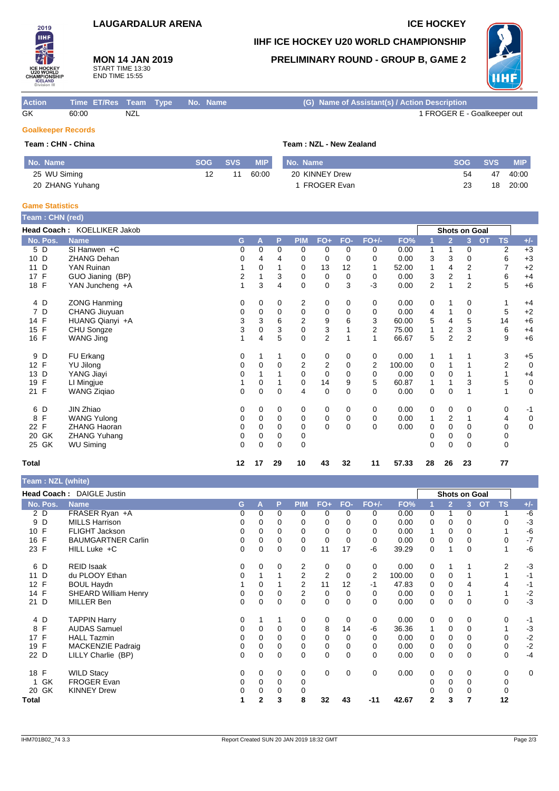### **LAUGARDALUR ARENA ICE HOCKEY**

**MON 14 JAN 2019** START TIME 13:30 END TIME 15:55

### **IIHF ICE HOCKEY U20 WORLD CHAMPIONSHIP**

**PRELIMINARY ROUND - GROUP B, GAME 2**



| <b>Action</b>             | Time ET/Res Team Type No. Name |     |  | (G) Name of Assistant(s) / Action Description |
|---------------------------|--------------------------------|-----|--|-----------------------------------------------|
| GK                        | 60:00                          | NZL |  | 1 FROGER E - Goalkeeper out                   |
| <b>Goalkeeper Records</b> |                                |     |  |                                               |

## **Team : CHN - China Team : NZL - New Zealand**

2019 **IIHF** 

| No. Name        | <b>SOG</b> | <b>SVS</b> | <b>MIP</b> | No. Name           | <b>SOG</b> | <b>SVS</b> | <b>MIP</b> |
|-----------------|------------|------------|------------|--------------------|------------|------------|------------|
| 25 WU Siming    |            |            | 60:00      | 20 KINNEY Drew     | 54         | 47         | 40:00      |
| 20 ZHANG Yuhang |            |            |            | <b>FROGER Evan</b> | 23         | 18         | 20:00      |

### **Game Statistics**

| <b>Team</b> : CHN (red) |                             |    |             |          |                |                |             |                |        |                |                |                |           |           |             |
|-------------------------|-----------------------------|----|-------------|----------|----------------|----------------|-------------|----------------|--------|----------------|----------------|----------------|-----------|-----------|-------------|
|                         | Head Coach: KOELLIKER Jakob |    |             |          |                |                |             |                |        |                | Shots on Goal  |                |           |           |             |
| No. Pos.                | <b>Name</b>                 | G  | Α           | P        | <b>PIM</b>     | $FO+$          | FO-         | $FO+/-$        | FO%    |                | $\overline{2}$ | 3              | <b>OT</b> | <b>TS</b> | $+/-$       |
| 5 D                     | $SI$ Hanwen +C              | 0  | 0           | 0        | 0              | 0              | 0           | 0              | 0.00   | 1              | 1              | 0              |           | 2         | $+3$        |
| 10 D                    | <b>ZHANG Dehan</b>          | 0  | 4           | 4        | 0              | 0              | $\Omega$    | $\Omega$       | 0.00   | 3              | 3              | 0              |           | 6         | $+3$        |
| D<br>11                 | YAN Ruinan                  | 1  | 0           |          | 0              | 13             | 12          | 1              | 52.00  | 1              | 4              | $\overline{2}$ |           | 7         | $+2$        |
| F<br>17                 | GUO Jianing (BP)            | 2  |             | 3        | 0              | 0              | 0           | 0              | 0.00   | 3              | 2              |                |           | 6         | $+4$        |
| 18 F                    | YAN Juncheng +A             | 1  | 3           | 4        | $\Omega$       | $\mathbf 0$    | 3           | $-3$           | 0.00   | $\overline{2}$ |                | $\overline{2}$ |           | 5         | $+6$        |
| 4 D                     | <b>ZONG Hanming</b>         | 0  | 0           | 0        | 2              | 0              | 0           | 0              | 0.00   | 0              | 1              | 0              |           |           | $+4$        |
| 7 D                     | CHANG Jiuyuan               | 0  | 0           | 0        | 0              | 0              | 0           | 0              | 0.00   | 4              |                | 0              |           | 5         | $+2$        |
| 14 F                    | HUANG Qianyi +A             | 3  | 3           | 6        | $\overline{2}$ | 9              | 6           | 3              | 60.00  | 5              | 4              | 5              |           | 14        | $+6$        |
| 15<br>F                 | CHU Songze                  | 3  | $\mathbf 0$ | 3        | $\mathbf 0$    | 3              |             | $\overline{2}$ | 75.00  | 1              | $\overline{2}$ | 3              |           | 6         | $+4$        |
| 16 F                    | WANG Jing                   | 1  | 4           | 5        | $\Omega$       | $\overline{2}$ |             | 1              | 66.67  | 5              | 2              | $\overline{2}$ |           | 9         | $+6$        |
| 9 D                     | FU Erkang                   | 0  |             |          | 0              | 0              | 0           | 0              | 0.00   | 1              | 1              |                |           | 3         | $+5$        |
| 12 F                    | <b>YU Jilong</b>            | 0  | $\Omega$    | 0        | 2              | 2              | 0           | 2              | 100.00 | 0              |                |                |           | 2         | $\mathbf 0$ |
| 13 D                    | YANG Jiayi                  | 0  |             |          | 0              | 0              | $\Omega$    | 0              | 0.00   | 0              | $\mathbf 0$    |                |           |           | $+4$        |
| F<br>19                 | LI Mingjue                  |    | 0           |          | 0              | 14             | 9           | 5              | 60.87  | 1              | 1              | 3              |           | 5         | 0           |
| 21 F                    | <b>WANG Zigiao</b>          | 0  | $\Omega$    | $\Omega$ | 4              | $\mathbf 0$    | $\Omega$    | $\Omega$       | 0.00   | $\mathbf 0$    | $\mathbf 0$    |                |           |           | $\mathbf 0$ |
| 6 D                     | JIN Zhiao                   | 0  | 0           | 0        | 0              | 0              | 0           | 0              | 0.00   | 0              | 0              | 0              |           | 0         | $-1$        |
| F<br>8                  | <b>WANG Yulong</b>          | 0  | $\Omega$    | $\Omega$ | 0              | 0              | $\mathbf 0$ | $\Omega$       | 0.00   | 1              | $\overline{2}$ |                |           | 4         | $\pmb{0}$   |
| 22 F                    | <b>ZHANG Haoran</b>         | 0  | 0           | 0        | 0              | $\Omega$       | $\Omega$    | $\Omega$       | 0.00   | 0              | 0              | 0              |           | 0         | 0           |
| 20 GK                   | <b>ZHANG Yuhang</b>         | 0  | $\Omega$    | $\Omega$ | 0              |                |             |                |        | 0              | $\Omega$       | $\Omega$       |           | 0         |             |
| 25 GK                   | <b>WU Siming</b>            | 0  | $\Omega$    | 0        | 0              |                |             |                |        | 0              | $\mathbf 0$    | 0              |           | 0         |             |
| <b>Total</b>            |                             | 12 | 17          | 29       | 10             | 43             | 32          | 11             | 57.33  | 28             | 26             | 23             |           | 77        |             |

**Team : NZL (white)**

|                                 | Head Coach: DAIGLE Justin   |   |              |          |                |                |          |             |        |                | Shots on Goal  |          |           |           |             |
|---------------------------------|-----------------------------|---|--------------|----------|----------------|----------------|----------|-------------|--------|----------------|----------------|----------|-----------|-----------|-------------|
| No. Pos.                        | <b>Name</b>                 | G | A            | P        | <b>PIM</b>     | $FO+$          | FO-      | FO+/-       | FO%    |                | $\overline{2}$ | 3        | <b>OT</b> | <b>TS</b> | $+/-$       |
| 2 D                             | FRASER Ryan +A              | 0 | $\Omega$     | $\Omega$ | $\Omega$       | 0              | $\Omega$ | 0           | 0.00   | 0              | 1              | 0        |           |           | $-6$        |
| 9 D                             | <b>MILLS Harrison</b>       | 0 | 0            | 0        | $\Omega$       | 0              | 0        | 0           | 0.00   | 0              | 0              | 0        |           |           | $-3$        |
| 10 F                            | <b>FLIGHT Jackson</b>       | 0 | $\Omega$     | $\Omega$ | $\Omega$       | 0              | $\Omega$ | 0           | 0.00   |                | $\mathbf 0$    | 0        |           |           | -6          |
| 16 F                            | <b>BAUMGARTNER Carlin</b>   | 0 | 0            | $\Omega$ | 0              | 0              | $\Omega$ | 0           | 0.00   | 0              | $\Omega$       | 0        |           | 0         | $-7$        |
| 23 F                            | HILL Luke +C                | 0 | 0            | 0        | $\Omega$       | 11             | 17       | -6          | 39.29  | 0              |                | $\Omega$ |           |           | -6          |
| 6 D                             | <b>REID Isaak</b>           | 0 | $\Omega$     | 0        | 2              | 0              | 0        | 0           | 0.00   | 0              |                |          |           | 2         | $-3$        |
| D<br>11                         | du PLOOY Ethan              | 0 |              |          | $\overline{2}$ | $\overline{2}$ | $\Omega$ | 2           | 100.00 | 0              | 0              |          |           |           | $-1$        |
| $\mathsf{F}$<br>12 <sup>2</sup> | <b>BOUL Haydn</b>           |   | 0            |          | $\overline{2}$ | 11             | 12       | $-1$        | 47.83  | 0              | 0              |          |           | 4         | $-1$        |
| 14 F                            | <b>SHEARD William Henry</b> | 0 | 0            | 0        | $\mathbf{2}$   | 0              | 0        | 0           | 0.00   | 0              | 0              |          |           |           | $-2$        |
| 21 D                            | MILLER Ben                  | 0 | 0            | 0        | 0              | 0              | 0        | 0           | 0.00   | 0              | 0              | 0        |           | 0         | $-3$        |
| 4 D                             | <b>TAPPIN Harry</b>         | 0 |              |          | 0              | 0              | 0        | 0           | 0.00   | 0              | 0              | 0        |           | 0         | $-1$        |
| F<br>8                          | <b>AUDAS Samuel</b>         | 0 | $\Omega$     | 0        | 0              | 8              | 14       | -6          | 36.36  |                | $\mathbf 0$    | 0        |           |           | $-3$        |
| 17 F                            | <b>HALL Tazmin</b>          | 0 | $\Omega$     | $\Omega$ | 0              | 0              | 0        | 0           | 0.00   | 0              | $\Omega$       | 0        |           | 0         | $-2$        |
| $\mathsf{F}$<br>19              | <b>MACKENZIE Padraig</b>    | 0 | $\Omega$     | $\Omega$ | 0              | 0              | $\Omega$ | 0           | 0.00   | 0              | 0              | 0        |           | 0         | $-2$        |
| 22 D                            | LILLY Charlie (BP)          | 0 | 0            | 0        | 0              | 0              | $\Omega$ | 0           | 0.00   | 0              | 0              | 0        |           | 0         | $-4$        |
| 18 F                            | <b>WILD Stacy</b>           | 0 | $\Omega$     | 0        | 0              | $\mathbf 0$    | $\Omega$ | $\mathbf 0$ | 0.00   | 0              | $\Omega$       | 0        |           | 0         | $\mathbf 0$ |
| GK                              | <b>FROGER Evan</b>          | 0 | $\Omega$     | 0        | $\mathbf 0$    |                |          |             |        | 0              | $\Omega$       | 0        |           | 0         |             |
| 20 GK                           | <b>KINNEY Drew</b>          | 0 | 0            | $\Omega$ | $\Omega$       |                |          |             |        |                | $\Omega$       | 0        |           | 0         |             |
| Total                           |                             |   | $\mathbf{2}$ | 3        | 8              | 32             | 43       | $-11$       | 42.67  | $\overline{2}$ | 3              |          |           | 12        |             |